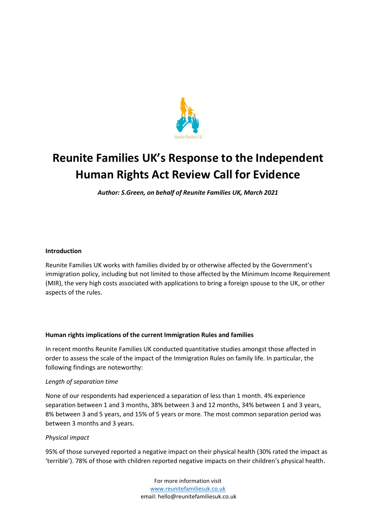

# **Reunite Families UK's Response to the Independent Human Rights Act Review Call for Evidence**

*Author: S.Green, on behalf of Reunite Families UK, March 2021*

# **Introduction**

Reunite Families UK works with families divided by or otherwise affected by the Government's immigration policy, including but not limited to those affected by the Minimum Income Requirement (MIR), the very high costs associated with applications to bring a foreign spouse to the UK, or other aspects of the rules.

## **Human rights implications of the current Immigration Rules and families**

In recent months Reunite Families UK conducted quantitative studies amongst those affected in order to assess the scale of the impact of the Immigration Rules on family life. In particular, the following findings are noteworthy:

## *Length of separation time*

None of our respondents had experienced a separation of less than 1 month. 4% experience separation between 1 and 3 months, 38% between 3 and 12 months, 34% between 1 and 3 years, 8% between 3 and 5 years, and 15% of 5 years or more. The most common separation period was between 3 months and 3 years.

## *Physical impact*

95% of those surveyed reported a negative impact on their physical health (30% rated the impact as 'terrible'). 78% of those with children reported negative impacts on their children's physical health.

> For more information visit [www.reunitefamiliesuk.co.uk](http://www.reunitefamiliesuk.co.uk/) email: hello@reunitefamiliesuk.co.uk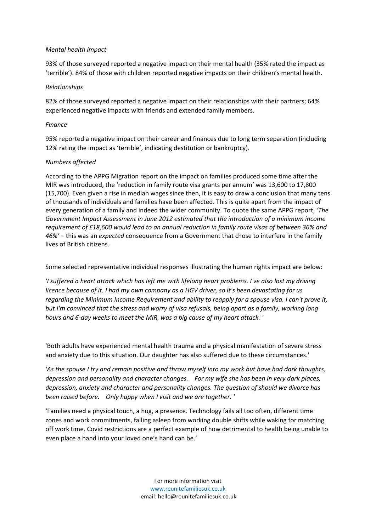## *Mental health impact*

93% of those surveyed reported a negative impact on their mental health (35% rated the impact as 'terrible'). 84% of those with children reported negative impacts on their children's mental health.

#### *Relationships*

82% of those surveyed reported a negative impact on their relationships with their partners; 64% experienced negative impacts with friends and extended family members.

#### *Finance*

95% reported a negative impact on their career and finances due to long term separation (including 12% rating the impact as 'terrible', indicating destitution or bankruptcy).

## *Numbers affected*

According to the APPG Migration report on the impact on families produced some time after the MIR was introduced, the 'reduction in family route visa grants per annum' was 13,600 to 17,800 (15,700). Even given a rise in median wages since then, it is easy to draw a conclusion that many tens of thousands of individuals and families have been affected. This is quite apart from the impact of every generation of a family and indeed the wider community. To quote the same APPG report, *'The Government Impact Assessment in June 2012 estimated that the introduction of a minimum income requirement of £18,600 would lead to an annual reduction in family route visas of between 36% and 46%'* – this was an *expected* consequence from a Government that chose to interfere in the family lives of British citizens.

Some selected representative individual responses illustrating the human rights impact are below:

*'I suffered a heart attack which has left me with lifelong heart problems. I've also lost my driving licence because of it. I had my own company as a HGV driver, so it's been devastating for us regarding the Minimum Income Requirement and ability to reapply for a spouse visa. I can't prove it, but I'm convinced that the stress and worry of visa refusals, being apart as a family, working long hours and 6-day weeks to meet the MIR, was a big cause of my heart attack. '*

'Both adults have experienced mental health trauma and a physical manifestation of severe stress and anxiety due to this situation. Our daughter has also suffered due to these circumstances.'

*'As the spouse I try and remain positive and throw myself into my work but have had dark thoughts, depression and personality and character changes. For my wife she has been in very dark places, depression, anxiety and character and personality changes. The question of should we divorce has been raised before. Only happy when I visit and we are together. '*

'Families need a physical touch, a hug, a presence. Technology fails all too often, different time zones and work commitments, falling asleep from working double shifts while waking for matching off work time. Covid restrictions are a perfect example of how detrimental to health being unable to even place a hand into your loved one's hand can be.'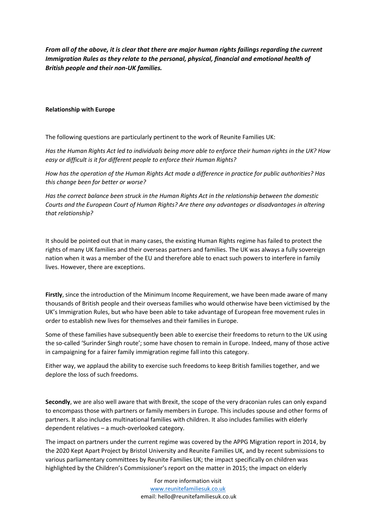*From all of the above, it is clear that there are major human rights failings regarding the current Immigration Rules as they relate to the personal, physical, financial and emotional health of British people and their non-UK families.*

#### **Relationship with Europe**

The following questions are particularly pertinent to the work of Reunite Families UK:

*Has the Human Rights Act led to individuals being more able to enforce their human rights in the UK? How easy or difficult is it for different people to enforce their Human Rights?*

*How has the operation of the Human Rights Act made a difference in practice for public authorities? Has this change been for better or worse?*

*Has the correct balance been struck in the Human Rights Act in the relationship between the domestic Courts and the European Court of Human Rights? Are there any advantages or disadvantages in altering that relationship?*

It should be pointed out that in many cases, the existing Human Rights regime has failed to protect the rights of many UK families and their overseas partners and families. The UK was always a fully sovereign nation when it was a member of the EU and therefore able to enact such powers to interfere in family lives. However, there are exceptions.

**Firstly**, since the introduction of the Minimum Income Requirement, we have been made aware of many thousands of British people and their overseas families who would otherwise have been victimised by the UK's Immigration Rules, but who have been able to take advantage of European free movement rules in order to establish new lives for themselves and their families in Europe.

Some of these families have subsequently been able to exercise their freedoms to return to the UK using the so-called 'Surinder Singh route'; some have chosen to remain in Europe. Indeed, many of those active in campaigning for a fairer family immigration regime fall into this category.

Either way, we applaud the ability to exercise such freedoms to keep British families together, and we deplore the loss of such freedoms.

**Secondly**, we are also well aware that with Brexit, the scope of the very draconian rules can only expand to encompass those with partners or family members in Europe. This includes spouse and other forms of partners. It also includes multinational families with children. It also includes families with elderly dependent relatives – a much-overlooked category.

The impact on partners under the current regime was covered by the APPG Migration report in 2014, by the 2020 Kept Apart Project by Bristol University and Reunite Families UK, and by recent submissions to various parliamentary committees by Reunite Families UK; the impact specifically on children was highlighted by the Children's Commissioner's report on the matter in 2015; the impact on elderly

> For more information visit [www.reunitefamiliesuk.co.uk](http://www.reunitefamiliesuk.co.uk/) email: hello@reunitefamiliesuk.co.uk